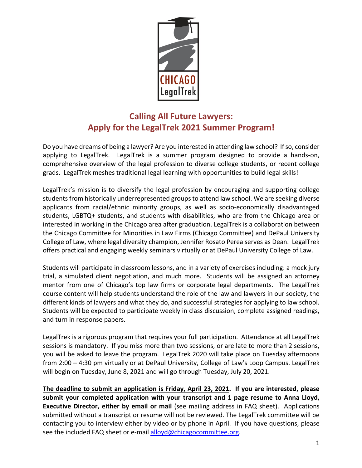

# **Calling All Future Lawyers: Apply for the LegalTrek 2021 Summer Program!**

Do you have dreams of being a lawyer? Are you interested in attending law school? If so, consider applying to LegalTrek. LegalTrek is a summer program designed to provide a hands-on, comprehensive overview of the legal profession to diverse college students, or recent college grads. LegalTrek meshes traditional legal learning with opportunities to build legal skills!

LegalTrek's mission is to diversify the legal profession by encouraging and supporting college students from historically underrepresented groups to attend law school. We are seeking diverse applicants from racial/ethnic minority groups, as well as socio-economically disadvantaged students, LGBTQ+ students, and students with disabilities, who are from the Chicago area or interested in working in the Chicago area after graduation. LegalTrek is a collaboration between the Chicago Committee for Minorities in Law Firms (Chicago Committee) and DePaul University College of Law, where legal diversity champion, Jennifer Rosato Perea serves as Dean. LegalTrek offers practical and engaging weekly seminars virtually or at DePaul University College of Law.

Students will participate in classroom lessons, and in a variety of exercises including: a mock jury trial, a simulated client negotiation, and much more. Students will be assigned an attorney mentor from one of Chicago's top law firms or corporate legal departments. The LegalTrek course content will help students understand the role of the law and lawyers in our society, the different kinds of lawyers and what they do, and successful strategies for applying to law school. Students will be expected to participate weekly in class discussion, complete assigned readings, and turn in response papers.

LegalTrek is a rigorous program that requires your full participation. Attendance at all LegalTrek sessions is mandatory. If you miss more than two sessions, or are late to more than 2 sessions, you will be asked to leave the program. LegalTrek 2020 will take place on Tuesday afternoons from 2:00 – 4:30 pm virtually or at DePaul University, College of Law's Loop Campus. LegalTrek will begin on Tuesday, June 8, 2021 and will go through Tuesday, July 20, 2021.

**The deadline to submit an application is Friday, April 23, 2021. If you are interested, please submit your completed application with your transcript and 1 page resume to Anna Lloyd, Executive Director, either by email or mail** (see mailing address in FAQ sheet). Applications submitted without a transcript or resume will not be reviewed. The LegalTrek committee will be contacting you to interview either by video or by phone in April. If you have questions, please see the included FAQ sheet or e-mail alloyd@chicagocommittee.org.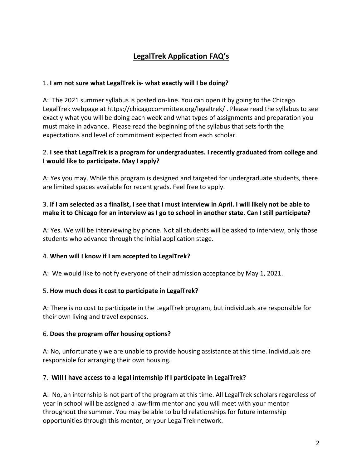## **LegalTrek Application FAQ's**

#### 1. **I am not sure what LegalTrek is- what exactly will I be doing?**

A: The 2021 summer syllabus is posted on-line. You can open it by going to the Chicago LegalTrek webpage at https://chicagocommittee.org/legaltrek/ . Please read the syllabus to see exactly what you will be doing each week and what types of assignments and preparation you must make in advance. Please read the beginning of the syllabus that sets forth the expectations and level of commitment expected from each scholar.

#### 2. **I see that LegalTrek is a program for undergraduates. I recently graduated from college and I would like to participate. May I apply?**

A: Yes you may. While this program is designed and targeted for undergraduate students, there are limited spaces available for recent grads. Feel free to apply.

## 3. **If I am selected as a finalist, I see that I must interview in April. I will likely not be able to make it to Chicago for an interview as I go to school in another state. Can I still participate?**

A: Yes. We will be interviewing by phone. Not all students will be asked to interview, only those students who advance through the initial application stage.

#### 4. **When will I know if I am accepted to LegalTrek?**

A: We would like to notify everyone of their admission acceptance by May 1, 2021.

#### 5. **How much does it cost to participate in LegalTrek?**

A: There is no cost to participate in the LegalTrek program, but individuals are responsible for their own living and travel expenses.

#### 6. **Does the program offer housing options?**

A: No, unfortunately we are unable to provide housing assistance at this time. Individuals are responsible for arranging their own housing.

#### 7. **Will I have access to a legal internship if I participate in LegalTrek?**

A: No, an internship is not part of the program at this time. All LegalTrek scholars regardless of year in school will be assigned a law-firm mentor and you will meet with your mentor throughout the summer. You may be able to build relationships for future internship opportunities through this mentor, or your LegalTrek network.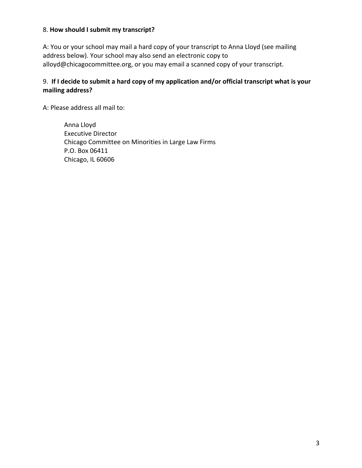#### 8. **How should I submit my transcript?**

A: You or your school may mail a hard copy of your transcript to Anna Lloyd (see mailing address below). Your school may also send an electronic copy to alloyd@chicagocommittee.org, or you may email a scanned copy of your transcript.

## 9. **If I decide to submit a hard copy of my application and/or official transcript what is your mailing address?**

A: Please address all mail to:

Anna Lloyd Executive Director Chicago Committee on Minorities in Large Law Firms P.O. Box 06411 Chicago, IL 60606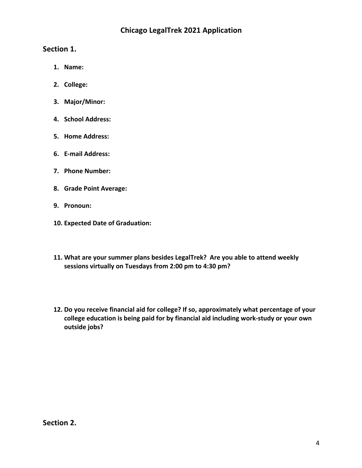## **Chicago LegalTrek 2021 Application**

## **Section 1.**

- **1. Name:**
- **2. College:**
- **3. Major/Minor:**
- **4. School Address:**
- **5. Home Address:**
- **6. E-mail Address:**
- **7. Phone Number:**
- **8. Grade Point Average:**
- **9. Pronoun:**
- **10. Expected Date of Graduation:**
- **11. What are your summer plans besides LegalTrek? Are you able to attend weekly sessions virtually on Tuesdays from 2:00 pm to 4:30 pm?**
- **12. Do you receive financial aid for college? If so, approximately what percentage of your college education is being paid for by financial aid including work-study or your own outside jobs?**